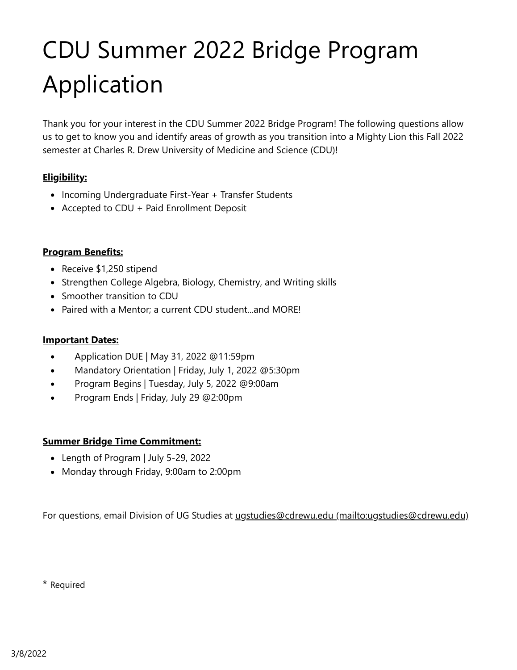# CDU Summer 2022 Bridge Program Application

Thank you for your interest in the CDU Summer 2022 Bridge Program! The following questions allow us to get to know you and identify areas of growth as you transition into a Mighty Lion this Fall 2022 semester at Charles R. Drew University of Medicine and Science (CDU)!

#### **Eligibility:**

- Incoming Undergraduate First-Year + Transfer Students
- Accepted to CDU + Paid Enrollment Deposit

#### **Program Benefits:**

- Receive \$1,250 stipend
- Strengthen College Algebra, Biology, Chemistry, and Writing skills
- Smoother transition to CDU
- Paired with a Mentor; a current CDU student...and MORE!

#### **Important Dates:**

- Application DUE | May 31, 2022 @11:59pm  $\bullet$
- Mandatory Orientation | Friday, July 1, 2022 @5:30pm  $\bullet$
- Program Begins | Tuesday, July 5, 2022 @9:00am  $\bullet$
- Program Ends | Friday, July 29 @2:00pm  $\bullet$

#### **Summer Bridge Time Commitment:**

- Length of Program | July 5-29, 2022
- Monday through Friday, 9:00am to 2:00pm

For questions, email Division of UG Studies at [ugstudies@cdrewu.edu \(mailto:ugstudies@cdrewu.edu\)](mailto:ugstudies@cdrewu.edu)

\* Required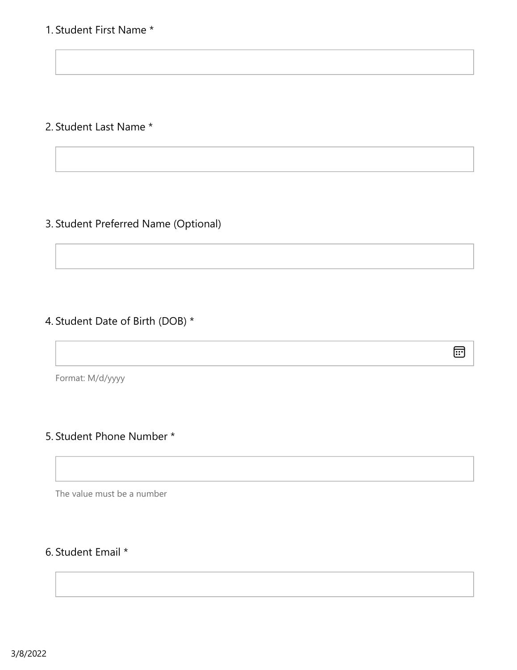## 1. Student First Name \*

## 2. Student Last Name \*

## 3. Student Preferred Name (Optional)

## 4. Student Date of Birth (DOB) \*

 $\boxplus$ 

Format: M/d/yyyy

## 5. Student Phone Number \*

The value must be a number

## 6. Student Email \*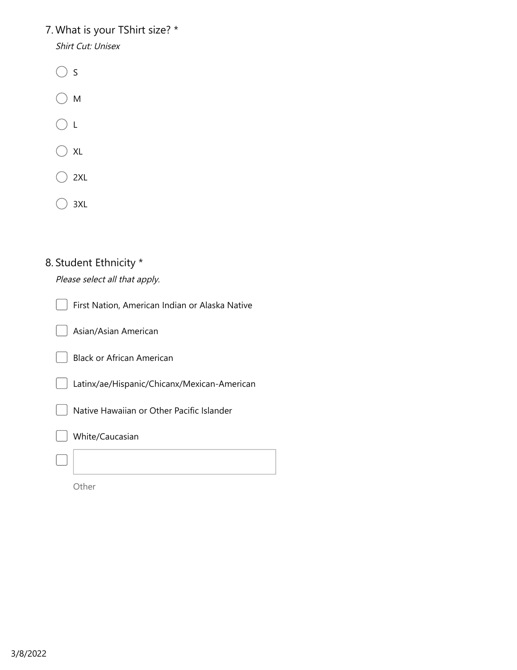# 7. What is your TShirt size? \*

Shirt Cut: Unisex

- $\bigcirc$  s
- $\bigcirc$  M
- $\bigcirc$  L
- $\bigcirc$  xl
- $\supset$  2XL
- $\bigcirc$  3XL (

# 8. Student Ethnicity \*

Please select all that apply.

| First Nation, American Indian or Alaska Native |
|------------------------------------------------|
| Asian/Asian American                           |
| <b>Black or African American</b>               |
| Latinx/ae/Hispanic/Chicanx/Mexican-American    |
| Native Hawaiian or Other Pacific Islander      |
| White/Caucasian                                |
|                                                |

Other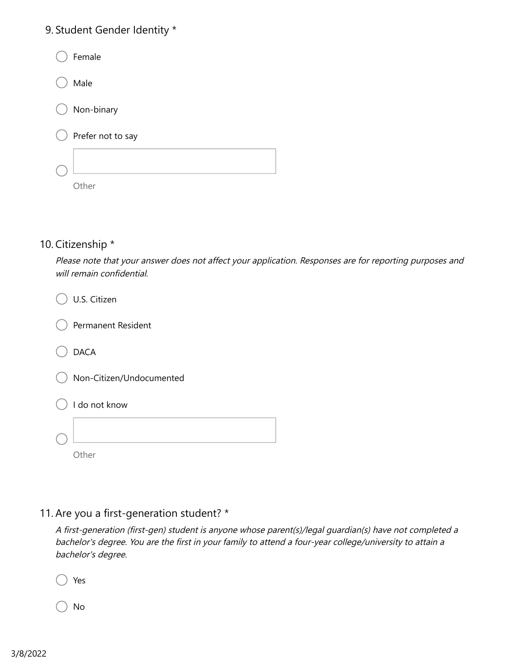## 9. Student Gender Identity \*

| Female            |
|-------------------|
| Male              |
| Non-binary        |
| Prefer not to say |
|                   |
| nther:            |

### 10. Citizenship \*

Please note that your answer does not affect your application. Responses are for reporting purposes and will remain confidential.

| U.S. Citizen              |
|---------------------------|
| <b>Permanent Resident</b> |
| <b>DACA</b>               |
| Non-Citizen/Undocumented  |
| I do not know             |
|                           |
| her                       |

## 11. Are you a first-generation student? \*

A first-generation (first-gen) student is anyone whose parent(s)/legal guardian(s) have not completed a bachelor's degree. You are the first in your family to attend a four-year college/university to attain a bachelor's degree.

Yes

No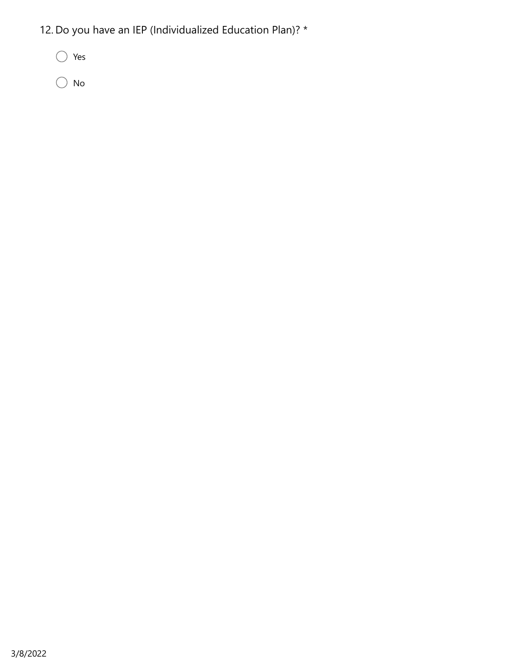- 12. Do you have an IEP (Individualized Education Plan)? \*
	- Yes
	- $\bigcirc$  No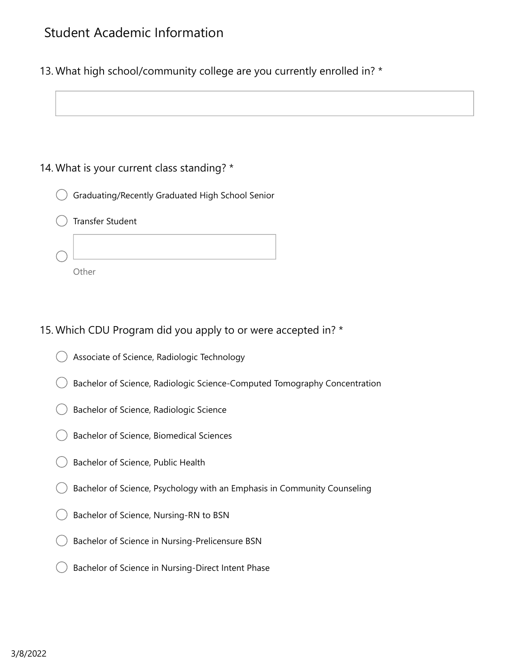## Student Academic Information

13. What high school/community college are you currently enrolled in? \*

### 14. What is your current class standing? \*



Transfer Student



## 15. Which CDU Program did you apply to or were accepted in? \*

- Associate of Science, Radiologic Technology
- Bachelor of Science, Radiologic Science-Computed Tomography Concentration
- Bachelor of Science, Radiologic Science
- Bachelor of Science, Biomedical Sciences
- Bachelor of Science, Public Health
- Bachelor of Science, Psychology with an Emphasis in Community Counseling
- Bachelor of Science, Nursing-RN to BSN
- Bachelor of Science in Nursing-Prelicensure BSN
- Bachelor of Science in Nursing-Direct Intent Phase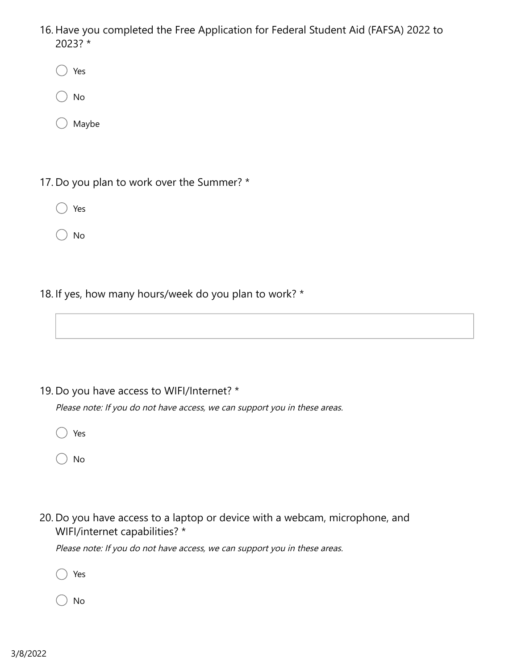- 16. Have you completed the Free Application for Federal Student Aid (FAFSA) 2022 to 2023? \*
	- Yes
	- No
	- Maybe
- 17. Do you plan to work over the Summer? \*
	- Yes
	- No
- 18. If yes, how many hours/week do you plan to work? \*

19. Do you have access to WIFI/Internet? \*

Please note: If you do not have access, we can support you in these areas.

- Yes
- No
- 20. Do you have access to a laptop or device with a webcam, microphone, and WIFI/internet capabilities? \*

Please note: If you do not have access, we can support you in these areas.

- Yes
- No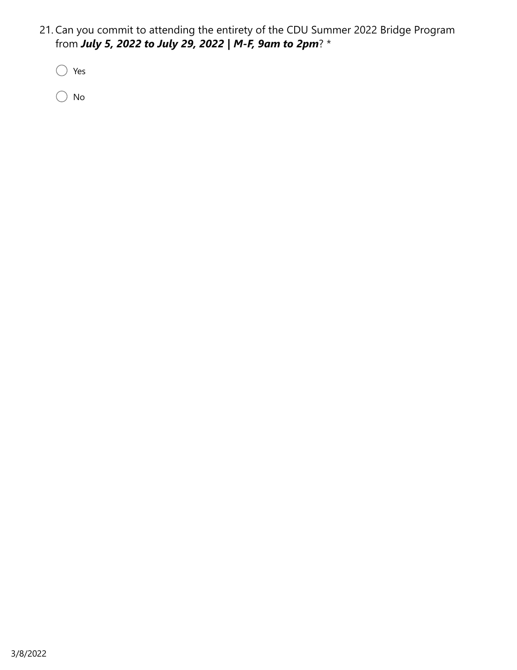21. Can you commit to attending the entirety of the CDU Summer 2022 Bridge Program from *July 5, 2022 to July 29, 2022 | M-F, 9am to 2pm*? \*

Yes

 $\bigcirc$  No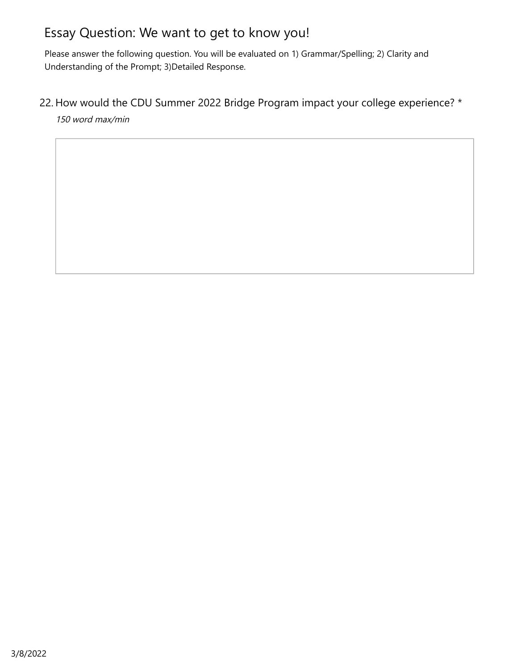# Essay Question: We want to get to know you!

Please answer the following question. You will be evaluated on 1) Grammar/Spelling; 2) Clarity and Understanding of the Prompt; 3)Detailed Response.

22. How would the CDU Summer 2022 Bridge Program impact your college experience? \*

150 word max/min